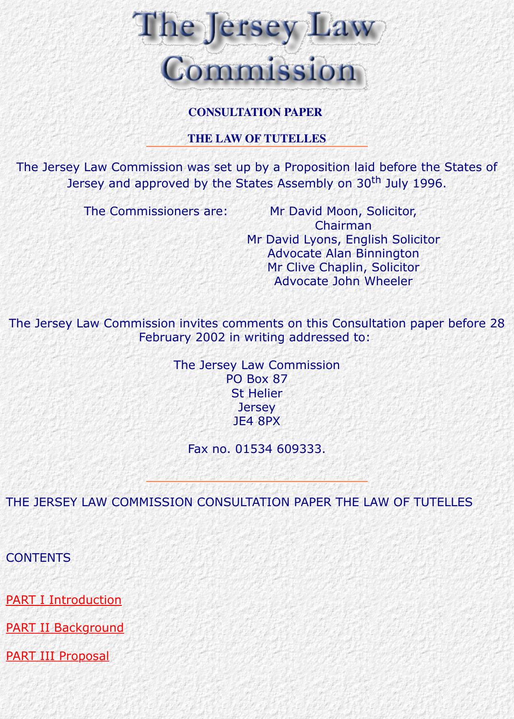#### **THE LAW OF TUTELLES**

The Jersey Law Commission was set up by a Proposition laid before the States of Jersey and approved by the States Assembly on 30<sup>th</sup> July 1996.

The Commissioners are: Mr David Moon, Solicitor, Chairman Mr David Lyons, English Solicitor Advocate Alan Binnington Mr Clive Chaplin, Solicitor Advocate John Wheeler

The Jersey Law Commission invites comments on this Consultation paper I February 2002 in writing addressed to:

> The Jersey Law Commission PO Box 87 St Helier **Jersey** JE4 8PX

> > Fax no. 01534 609333.

THE JERSEY LAW COMMISSION CONSULTATION PAPER THE LAW OF TUTEL

**CONTENTS** 

PART I Introduction

**PART II Background** 

PART III Proposal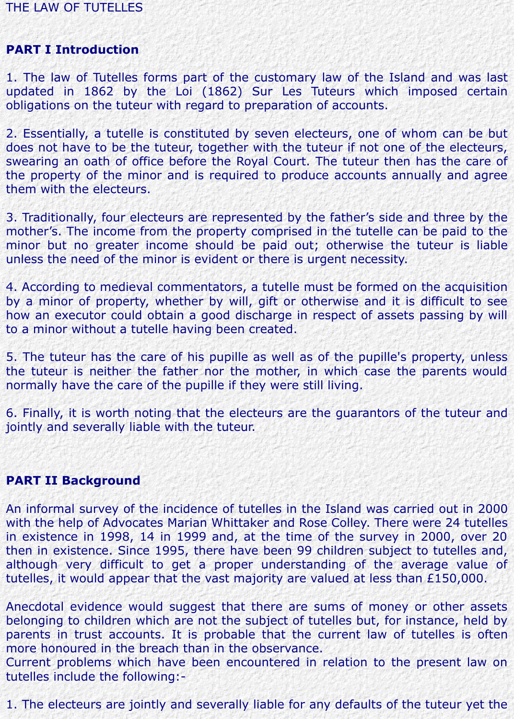# THE LAW OF TUTELLES

# **PART I Introduction**

1. The law of Tutelles forms part of the customary law of the Island and was last updated in 1862 by the Loi (1862) Sur Les Tuteurs which imposed certain obligations on the tuteur with regard to preparation of accounts.

2. Essentially, a tutelle is constituted by seven electeurs, one of whom can be but does not have to be the tuteur, together with the tuteur if not one of the electeurs, swearing an oath of office before the Royal Court. The tuteur then has the care of the property of the minor and is required to produce accounts annually and agree them with the electeurs.

3. Traditionally, four electeurs are represented by the father's side and three by the mother's. The income from the property comprised in the tutelle can be paid to the minor but no greater income should be paid out; otherwise the tuteur is liable unless the need of the minor is evident or there is urgent necessity.

4. According to medieval commentators, a tutelle must be formed on the acquisition by a minor of property, whether by will, gift or otherwise and it is difficult to see how an executor could obtain a good discharge in respect of assets passing by will to a minor without a tutelle having been created.

5. The tuteur has the care of his pupille as well as of the pupille's property, unless the tuteur is neither the father nor the mother, in which case the parents would normally have the care of the pupille if they were still living.

6. Finally, it is worth noting that the electeurs are the guarantors of the tuteur and jointly and severally liable with the tuteur.

### **PART II Background**

An informal survey of the incidence of tutelles in the Island was carried out in 2000 with the help of Advocates Marian Whittaker and Rose Colley. There were 24 tutelles in existence in 1998, 14 in 1999 and, at the time of the survey in 2000, over 20 then in existence. Since 1995, there have been 99 children subject to tutelles and, although very difficult to get a proper understanding of the average value of tutelles, it would appear that the vast majority are valued at less than £150,000.

Anecdotal evidence would suggest that there are sums of money or other assets belonging to children which are not the subject of tutelles but, for instance, held by parents in trust accounts. It is probable that the current law of tutelles is often more honoured in the breach than in the observance.

Current problems which have been encountered in relation to the present law on tutelles include the following:-

1. The electeurs are jointly and severally liable for any defaults of the tuteur yet the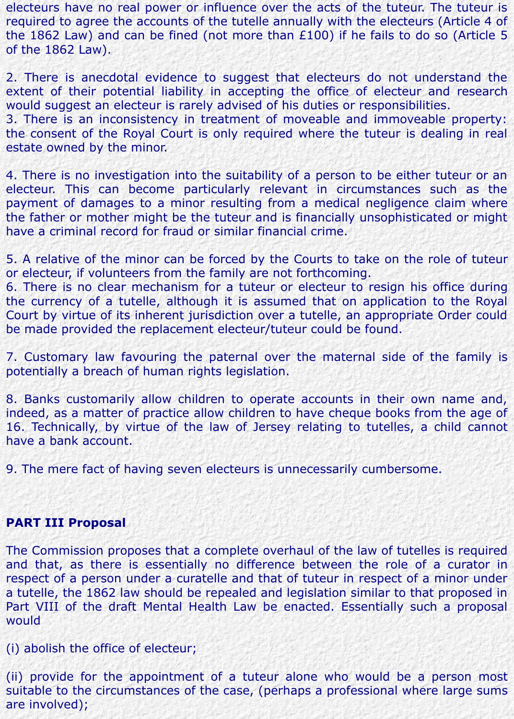electeurs have no real power or influence over the acts of the tuteur. The tuteur is required to agree the accounts of the tutelle annually with the electeurs (Article 4 of the 1862 Law) and can be fined (not more than £100) if he fails to do so (Article 5 of the 1862 Law).

2. There is anecdotal evidence to suggest that electeurs do not understand the extent of their potential liability in accepting the office of electeur and research would suggest an electeur is rarely advised of his duties or responsibilities.

3. There is an inconsistency in treatment of moveable and immoveable property: the consent of the Royal Court is only required where the tuteur is dealing in real estate owned by the minor.

4. There is no investigation into the suitability of a person to be either tuteur or an electeur. This can become particularly relevant in circumstances such as the payment of damages to a minor resulting from a medical negligence claim where the father or mother might be the tuteur and is financially unsophisticated or might have a criminal record for fraud or similar financial crime.

5. A relative of the minor can be forced by the Courts to take on the role of tuteur or electeur, if volunteers from the family are not forthcoming.

6. There is no clear mechanism for a tuteur or electeur to resign his office during the currency of a tutelle, although it is assumed that on application to the Royal Court by virtue of its inherent jurisdiction over a tutelle, an appropriate Order could be made provided the replacement electeur/tuteur could be found.

7. Customary law favouring the paternal over the maternal side of the family is potentially a breach of human rights legislation.

8. Banks customarily allow children to operate accounts in their own name and, indeed, as a matter of practice allow children to have cheque books from the age of 16. Technically, by virtue of the law of Jersey relating to tutelles, a child cannot have a bank account.

9. The mere fact of having seven electeurs is unnecessarily cumbersome.

#### **PART III Proposal**

The Commission proposes that a complete overhaul of the law of tutelles is required and that, as there is essentially no difference between the role of a curator in respect of a person under a curatelle and that of tuteur in respect of a minor under a tutelle, the 1862 law should be repealed and legislation similar to that proposed in Part VIII of the draft Mental Health Law be enacted. Essentially such a proposal would

(i) abolish the office of electeur;

(ii) provide for the appointment of a tuteur alone who would be a person most suitable to the circumstances of the case, (perhaps a professional where large sums are involved);